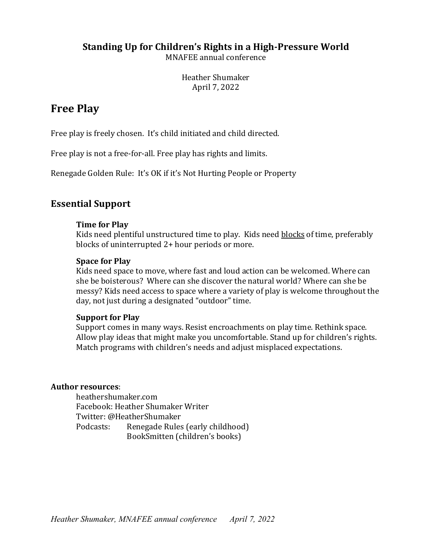### **Standing Up for Children's Rights in a High-Pressure World**

MNAFEE annual conference

Heather Shumaker April 7, 2022

## **Free Play**

Free play is freely chosen. It's child initiated and child directed.

Free play is not a free-for-all. Free play has rights and limits.

Renegade Golden Rule: It's OK if it's Not Hurting People or Property

### **Essential Support**

#### **Time for Play**

Kids need plentiful unstructured time to play. Kids need blocks of time, preferably blocks of uninterrupted 2+ hour periods or more.

#### **Space for Play**

Kids need space to move, where fast and loud action can be welcomed. Where can she be boisterous? Where can she discover the natural world? Where can she be messy? Kids need access to space where a variety of play is welcome throughout the day, not just during a designated "outdoor" time.

#### **Support for Play**

Support comes in many ways. Resist encroachments on play time. Rethink space. Allow play ideas that might make you uncomfortable. Stand up for children's rights. Match programs with children's needs and adjust misplaced expectations.

#### Author resources:

heathershumaker.com Facebook: Heather Shumaker Writer Twitter: @HeatherShumaker Podcasts: Renegade Rules (early childhood) BookSmitten (children's books)